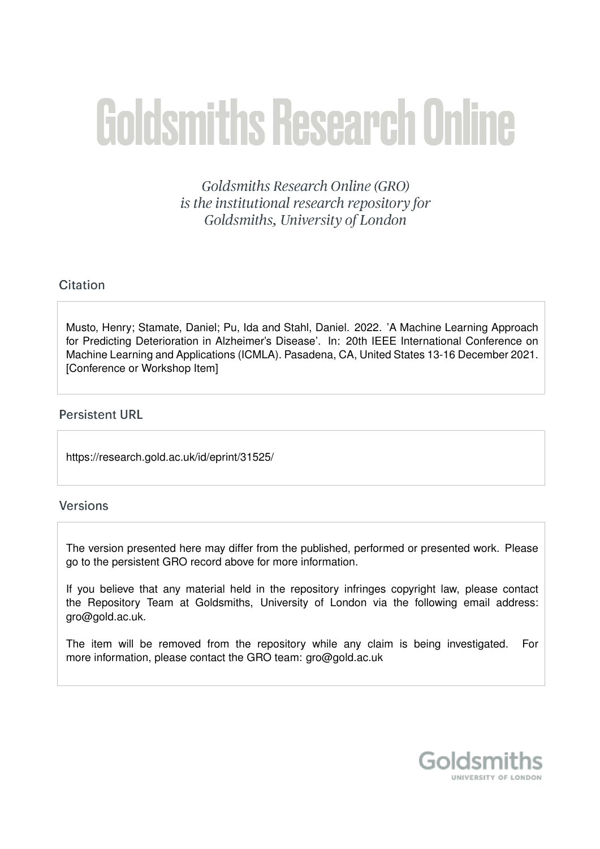# **Goldsmiths Research Online**

Goldsmiths Research Online (GRO) is the institutional research repository for Goldsmiths, University of London

# Citation

Musto, Henry; Stamate, Daniel; Pu, Ida and Stahl, Daniel. 2022. 'A Machine Learning Approach for Predicting Deterioration in Alzheimer's Disease'. In: 20th IEEE International Conference on Machine Learning and Applications (ICMLA). Pasadena, CA, United States 13-16 December 2021. [Conference or Workshop Item]

## **Persistent URL**

https://research.gold.ac.uk/id/eprint/31525/

## Versions

The version presented here may differ from the published, performed or presented work. Please go to the persistent GRO record above for more information.

If you believe that any material held in the repository infringes copyright law, please contact the Repository Team at Goldsmiths, University of London via the following email address: gro@gold.ac.uk.

The item will be removed from the repository while any claim is being investigated. For more information, please contact the GRO team: gro@gold.ac.uk

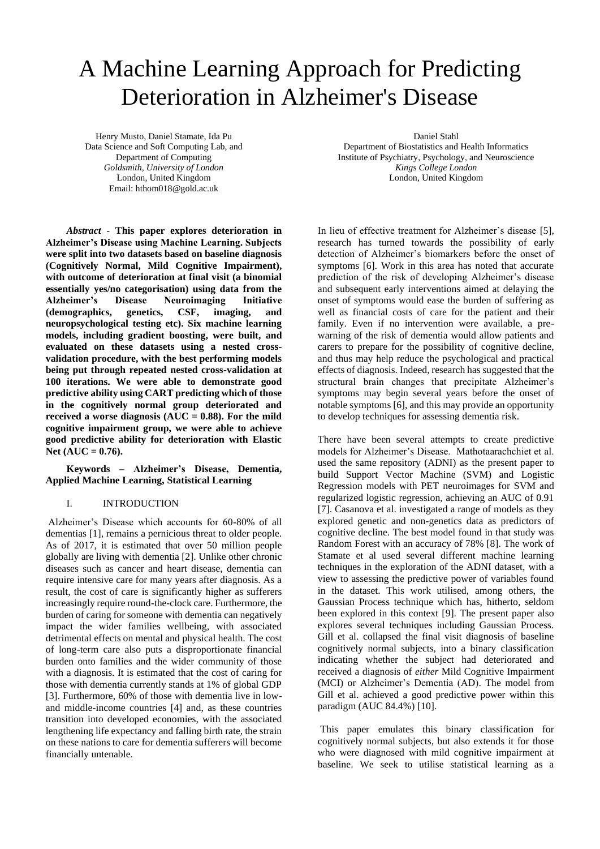# A Machine Learning Approach for Predicting Deterioration in Alzheimer's Disease

Henry Musto, Daniel Stamate, Ida Pu Data Science and Soft Computing Lab, and Department of Computing *Goldsmith, University of London* London, United Kingdom Email[: hthom018@gold.ac.uk](mailto:hthom018@gold.ac.uk)

*Abstract -* **This paper explores deterioration in Alzheimer's Disease using Machine Learning. Subjects were split into two datasets based on baseline diagnosis (Cognitively Normal, Mild Cognitive Impairment), with outcome of deterioration at final visit (a binomial essentially yes/no categorisation) using data from the Alzheimer's Disease Neuroimaging Initiative (demographics, genetics, CSF, imaging, and neuropsychological testing etc). Six machine learning models, including gradient boosting, were built, and evaluated on these datasets using a nested crossvalidation procedure, with the best performing models being put through repeated nested cross-validation at 100 iterations. We were able to demonstrate good predictive ability using CART predicting which of those in the cognitively normal group deteriorated and received a worse diagnosis (AUC = 0.88). For the mild cognitive impairment group, we were able to achieve good predictive ability for deterioration with Elastic Net (AUC = 0.76).** 

#### **Keywords – Alzheimer's Disease, Dementia, Applied Machine Learning, Statistical Learning**

#### I. INTRODUCTION

Alzheimer's Disease which accounts for 60-80% of all dementias [1], remains a pernicious threat to older people. As of 2017, it is estimated that over 50 million people globally are living with dementia [2]. Unlike other chronic diseases such as cancer and heart disease, dementia can require intensive care for many years after diagnosis. As a result, the cost of care is significantly higher as sufferers increasingly require round-the-clock care. Furthermore, the burden of caring for someone with dementia can negatively impact the wider families wellbeing, with associated detrimental effects on mental and physical health. The cost of long-term care also puts a disproportionate financial burden onto families and the wider community of those with a diagnosis. It is estimated that the cost of caring for those with dementia currently stands at 1% of global GDP [3]. Furthermore, 60% of those with dementia live in lowand middle-income countries [4] and, as these countries transition into developed economies, with the associated lengthening life expectancy and falling birth rate, the strain on these nations to care for dementia sufferers will become financially untenable.

Daniel Stahl

Department of Biostatistics and Health Informatics Institute of Psychiatry, Psychology, and Neuroscience *Kings College London* London, United Kingdom

In lieu of effective treatment for Alzheimer's disease [5], research has turned towards the possibility of early detection of Alzheimer's biomarkers before the onset of symptoms [6]. Work in this area has noted that accurate prediction of the risk of developing Alzheimer's disease and subsequent early interventions aimed at delaying the onset of symptoms would ease the burden of suffering as well as financial costs of care for the patient and their family. Even if no intervention were available, a prewarning of the risk of dementia would allow patients and carers to prepare for the possibility of cognitive decline, and thus may help reduce the psychological and practical effects of diagnosis. Indeed, research has suggested that the structural brain changes that precipitate Alzheimer's symptoms may begin several years before the onset of notable symptoms [6], and this may provide an opportunity to develop techniques for assessing dementia risk.

There have been several attempts to create predictive models for Alzheimer's Disease. Mathotaarachchiet et al. used the same repository (ADNI) as the present paper to build Support Vector Machine (SVM) and Logistic Regression models with PET neuroimages for SVM and regularized logistic regression, achieving an AUC of 0.91 [7]. Casanova et al. investigated a range of models as they explored genetic and non-genetics data as predictors of cognitive decline. The best model found in that study was Random Forest with an accuracy of 78% [8]. The work of Stamate et al used several different machine learning techniques in the exploration of the ADNI dataset, with a view to assessing the predictive power of variables found in the dataset. This work utilised, among others, the Gaussian Process technique which has, hitherto, seldom been explored in this context [9]. The present paper also explores several techniques including Gaussian Process. Gill et al. collapsed the final visit diagnosis of baseline cognitively normal subjects, into a binary classification indicating whether the subject had deteriorated and received a diagnosis of *either* Mild Cognitive Impairment (MCI) or Alzheimer's Dementia (AD). The model from Gill et al. achieved a good predictive power within this paradigm (AUC 84.4%) [10].

This paper emulates this binary classification for cognitively normal subjects, but also extends it for those who were diagnosed with mild cognitive impairment at baseline. We seek to utilise statistical learning as a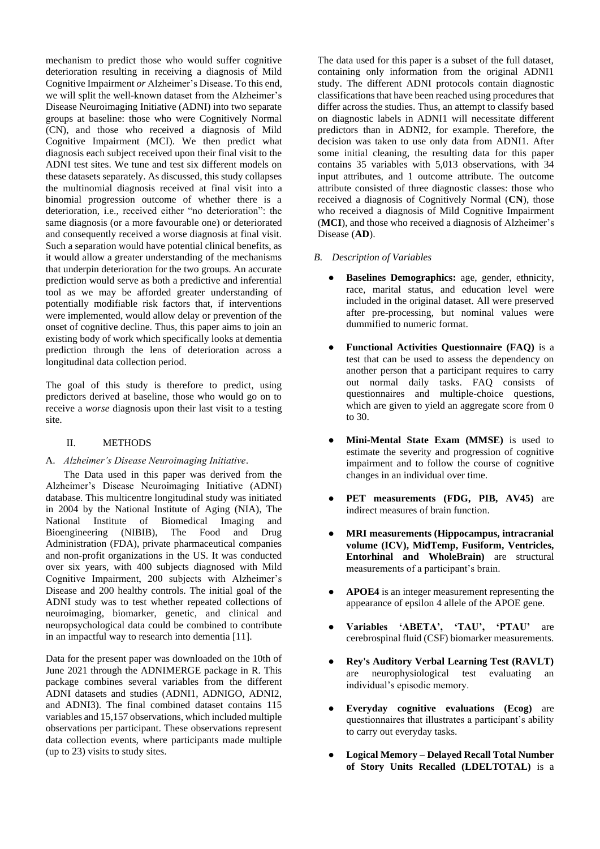mechanism to predict those who would suffer cognitive deterioration resulting in receiving a diagnosis of Mild Cognitive Impairment *or* Alzheimer's Disease. To this end, we will split the well-known dataset from the Alzheimer's Disease Neuroimaging Initiative (ADNI) into two separate groups at baseline: those who were Cognitively Normal (CN), and those who received a diagnosis of Mild Cognitive Impairment (MCI). We then predict what diagnosis each subject received upon their final visit to the ADNI test sites. We tune and test six different models on these datasets separately. As discussed, this study collapses the multinomial diagnosis received at final visit into a binomial progression outcome of whether there is a deterioration, i.e., received either "no deterioration": the same diagnosis (or a more favourable one) or deteriorated and consequently received a worse diagnosis at final visit. Such a separation would have potential clinical benefits, as it would allow a greater understanding of the mechanisms that underpin deterioration for the two groups. An accurate prediction would serve as both a predictive and inferential tool as we may be afforded greater understanding of potentially modifiable risk factors that, if interventions were implemented, would allow delay or prevention of the onset of cognitive decline. Thus, this paper aims to join an existing body of work which specifically looks at dementia prediction through the lens of deterioration across a longitudinal data collection period.

The goal of this study is therefore to predict, using predictors derived at baseline, those who would go on to receive a *worse* diagnosis upon their last visit to a testing site.

#### II. METHODS

#### A. *Alzheimer's Disease Neuroimaging Initiative*.

The Data used in this paper was derived from the Alzheimer's Disease Neuroimaging Initiative (ADNI) database. This multicentre longitudinal study was initiated in 2004 by the National Institute of Aging (NIA), The National Institute of Biomedical Imaging and Bioengineering (NIBIB), The Food and Drug Administration (FDA), private pharmaceutical companies and non-profit organizations in the US. It was conducted over six years, with 400 subjects diagnosed with Mild Cognitive Impairment, 200 subjects with Alzheimer's Disease and 200 healthy controls. The initial goal of the ADNI study was to test whether repeated collections of neuroimaging, biomarker, genetic, and clinical and neuropsychological data could be combined to contribute in an impactful way to research into dementia [11].

Data for the present paper was downloaded on the 10th of June 2021 through the ADNIMERGE package in R. This package combines several variables from the different ADNI datasets and studies (ADNI1, ADNIGO, ADNI2, and ADNI3). The final combined dataset contains 115 variables and 15,157 observations, which included multiple observations per participant. These observations represent data collection events, where participants made multiple (up to 23) visits to study sites.

The data used for this paper is a subset of the full dataset, containing only information from the original ADNI1 study. The different ADNI protocols contain diagnostic classifications that have been reached using procedures that differ across the studies. Thus, an attempt to classify based on diagnostic labels in ADNI1 will necessitate different predictors than in ADNI2, for example. Therefore, the decision was taken to use only data from ADNI1. After some initial cleaning, the resulting data for this paper contains 35 variables with 5,013 observations, with 34 input attributes, and 1 outcome attribute. The outcome attribute consisted of three diagnostic classes: those who received a diagnosis of Cognitively Normal (**CN**), those who received a diagnosis of Mild Cognitive Impairment (**MCI**), and those who received a diagnosis of Alzheimer's Disease (**AD**).

#### *B. Description of Variables*

- Baselines Demographics: age, gender, ethnicity, race, marital status, and education level were included in the original dataset. All were preserved after pre-processing, but nominal values were dummified to numeric format.
- **Functional Activities Questionnaire (FAQ)** is a test that can be used to assess the dependency on another person that a participant requires to carry out normal daily tasks. FAQ consists of questionnaires and multiple-choice questions, which are given to yield an aggregate score from 0 to 30.
- **Mini-Mental State Exam (MMSE)** is used to estimate the severity and progression of cognitive impairment and to follow the course of cognitive changes in an individual over time.
- **PET** measurements (FDG, PIB, AV45) are indirect measures of brain function.
- **MRI measurements (Hippocampus, intracranial volume (ICV), MidTemp, Fusiform, Ventricles, Entorhinal and WholeBrain)** are structural measurements of a participant's brain.
- **APOE4** is an integer measurement representing the appearance of epsilon 4 allele of the APOE gene.
- **Variables 'ABETA', 'TAU', 'PTAU'** are cerebrospinal fluid (CSF) biomarker measurements.
- **Rey's Auditory Verbal Learning Test (RAVLT)**  are neurophysiological test evaluating an individual's episodic memory.
- **Everyday cognitive evaluations (Ecog)** are questionnaires that illustrates a participant's ability to carry out everyday tasks.
- **Logical Memory – Delayed Recall Total Number of Story Units Recalled (LDELTOTAL)** is a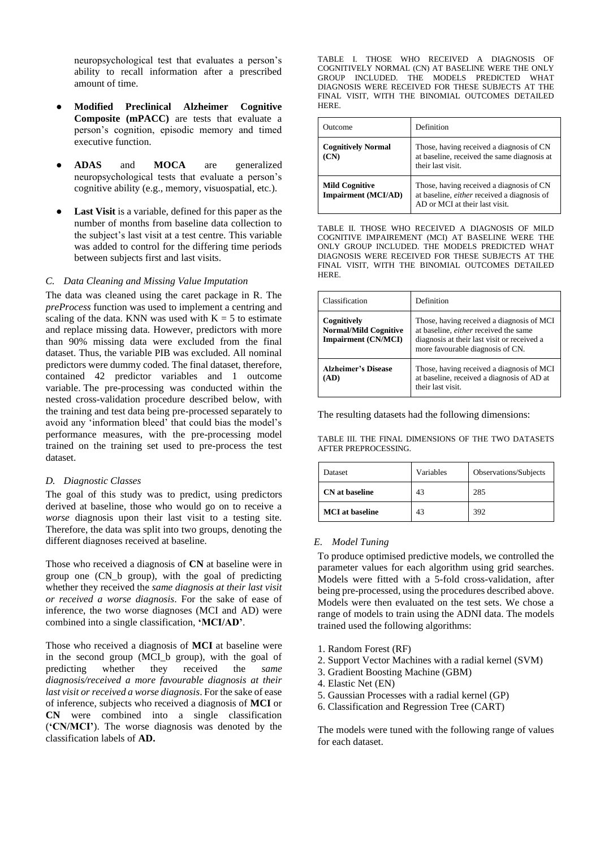neuropsychological test that evaluates a person's ability to recall information after a prescribed amount of time.

- **Modified Preclinical Alzheimer Cognitive Composite (mPACC)** are tests that evaluate a person's cognition, episodic memory and timed executive function.
- **ADAS** and **MOCA** are generalized neuropsychological tests that evaluate a person's cognitive ability (e.g., memory, visuospatial, etc.).
- **Last Visit** is a variable, defined for this paper as the number of months from baseline data collection to the subject's last visit at a test centre. This variable was added to control for the differing time periods between subjects first and last visits.

#### *C. Data Cleaning and Missing Value Imputation*

The data was cleaned using the caret package in R. The *preProcess* function was used to implement a centring and scaling of the data. KNN was used with  $K = 5$  to estimate and replace missing data. However, predictors with more than 90% missing data were excluded from the final dataset. Thus, the variable PIB was excluded. All nominal predictors were dummy coded. The final dataset, therefore, contained 42 predictor variables and 1 outcome variable. The pre-processing was conducted within the nested cross-validation procedure described below, with the training and test data being pre-processed separately to avoid any 'information bleed' that could bias the model's performance measures, with the pre-processing model trained on the training set used to pre-process the test dataset.

#### *D. Diagnostic Classes*

The goal of this study was to predict, using predictors derived at baseline, those who would go on to receive a *worse* diagnosis upon their last visit to a testing site. Therefore, the data was split into two groups, denoting the different diagnoses received at baseline.

Those who received a diagnosis of **CN** at baseline were in group one (CN\_b group), with the goal of predicting whether they received the *same diagnosis at their last visit or received a worse diagnosis*. For the sake of ease of inference, the two worse diagnoses (MCI and AD) were combined into a single classification, **'MCI/AD'**.

Those who received a diagnosis of **MCI** at baseline were in the second group (MCI\_b group), with the goal of predicting whether they received the *same* predicting whether they received the *same diagnosis/received a more favourable diagnosis at their last visit or received a worse diagnosis*. For the sake of ease of inference, subjects who received a diagnosis of **MCI** or **CN** were combined into a single classification (**'CN/MCI'**). The worse diagnosis was denoted by the classification labels of **AD.**

TABLE I. THOSE WHO RECEIVED A DIAGNOSIS OF COGNITIVELY NORMAL (CN) AT BASELINE WERE THE ONLY GROUP INCLUDED. THE MODELS PREDICTED WHAT DIAGNOSIS WERE RECEIVED FOR THESE SUBJECTS AT THE FINAL VISIT, WITH THE BINOMIAL OUTCOMES DETAILED HERE.

| Outcome                                             | Definition                                                                                                                       |
|-----------------------------------------------------|----------------------------------------------------------------------------------------------------------------------------------|
| <b>Cognitively Normal</b><br>(CN)                   | Those, having received a diagnosis of CN<br>at baseline, received the same diagnosis at<br>their last visit.                     |
| <b>Mild Cognitive</b><br><b>Impairment</b> (MCI/AD) | Those, having received a diagnosis of CN<br>at baseline, <i>either</i> received a diagnosis of<br>AD or MCI at their last visit. |

TABLE II. THOSE WHO RECEIVED A DIAGNOSIS OF MILD COGNITIVE IMPAIREMENT (MCI) AT BASELINE WERE THE ONLY GROUP INCLUDED. THE MODELS PREDICTED WHAT DIAGNOSIS WERE RECEIVED FOR THESE SUBJECTS AT THE FINAL VISIT, WITH THE BINOMIAL OUTCOMES DETAILED HERE.

| Classification                                                            | Definition                                                                                                                                                                   |
|---------------------------------------------------------------------------|------------------------------------------------------------------------------------------------------------------------------------------------------------------------------|
| Cognitively<br><b>Normal/Mild Cognitive</b><br><b>Impairment (CN/MCI)</b> | Those, having received a diagnosis of MCI<br>at baseline, <i>either</i> received the same<br>diagnosis at their last visit or received a<br>more favourable diagnosis of CN. |
| <b>Alzheimer's Disease</b><br>(AD)                                        | Those, having received a diagnosis of MCI<br>at baseline, received a diagnosis of AD at<br>their last visit.                                                                 |

The resulting datasets had the following dimensions:

TABLE III. THE FINAL DIMENSIONS OF THE TWO DATASETS AFTER PREPROCESSING.

| Dataset                | Variables | Observations/Subjects |
|------------------------|-----------|-----------------------|
| <b>CN</b> at baseline  | 43        | 285                   |
| <b>MCI</b> at baseline | 43        | 392                   |

#### *E. Model Tuning*

To produce optimised predictive models, we controlled the parameter values for each algorithm using grid searches. Models were fitted with a 5-fold cross-validation, after being pre-processed, using the procedures described above. Models were then evaluated on the test sets. We chose a range of models to train using the ADNI data. The models trained used the following algorithms:

- 1. Random Forest (RF)
- 2. Support Vector Machines with a radial kernel (SVM)
- 3. Gradient Boosting Machine (GBM)
- 4. Elastic Net (EN)
- 5. Gaussian Processes with a radial kernel (GP)
- 6. Classification and Regression Tree (CART)

The models were tuned with the following range of values for each dataset.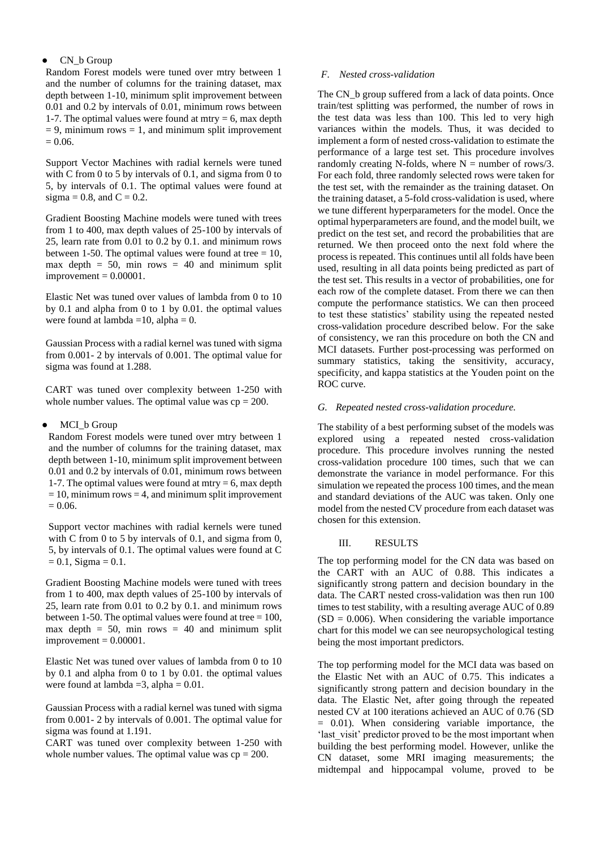#### CN\_b Group

Random Forest models were tuned over mtry between 1 and the number of columns for the training dataset, max depth between 1-10, minimum split improvement between 0.01 and 0.2 by intervals of 0.01, minimum rows between 1-7. The optimal values were found at mtry  $= 6$ , max depth  $= 9$ , minimum rows  $= 1$ , and minimum split improvement  $= 0.06.$ 

Support Vector Machines with radial kernels were tuned with C from 0 to 5 by intervals of 0.1, and sigma from 0 to 5, by intervals of 0.1. The optimal values were found at sigma = 0.8, and  $C = 0.2$ .

Gradient Boosting Machine models were tuned with trees from 1 to 400, max depth values of 25-100 by intervals of 25, learn rate from 0.01 to 0.2 by 0.1. and minimum rows between 1-50. The optimal values were found at tree  $= 10$ , max depth  $= 50$ , min rows  $= 40$  and minimum split  $improvement = 0.00001$ .

Elastic Net was tuned over values of lambda from 0 to 10 by 0.1 and alpha from 0 to 1 by 0.01. the optimal values were found at lambda =  $10$ , alpha = 0.

Gaussian Process with a radial kernel was tuned with sigma from 0.001- 2 by intervals of 0.001. The optimal value for sigma was found at 1.288.

CART was tuned over complexity between 1-250 with whole number values. The optimal value was  $cp = 200$ .

#### MCI b Group

Random Forest models were tuned over mtry between 1 and the number of columns for the training dataset, max depth between 1-10, minimum split improvement between 0.01 and 0.2 by intervals of 0.01, minimum rows between 1-7. The optimal values were found at mtry  $= 6$ , max depth  $= 10$ , minimum rows  $= 4$ , and minimum split improvement  $= 0.06.$ 

Support vector machines with radial kernels were tuned with C from 0 to 5 by intervals of 0.1, and sigma from 0, 5, by intervals of 0.1. The optimal values were found at C  $= 0.1$ , Sigma  $= 0.1$ .

Gradient Boosting Machine models were tuned with trees from 1 to 400, max depth values of 25-100 by intervals of 25, learn rate from 0.01 to 0.2 by 0.1. and minimum rows between 1-50. The optimal values were found at tree  $= 100$ , max depth  $= 50$ , min rows  $= 40$  and minimum split  $improvement = 0.00001$ .

Elastic Net was tuned over values of lambda from 0 to 10 by 0.1 and alpha from 0 to 1 by 0.01. the optimal values were found at lambda = 3, alpha =  $0.01$ .

Gaussian Process with a radial kernel was tuned with sigma from 0.001- 2 by intervals of 0.001. The optimal value for sigma was found at 1.191.

CART was tuned over complexity between 1-250 with whole number values. The optimal value was  $cp = 200$ .

#### *F. Nested cross-validation*

The CN\_b group suffered from a lack of data points. Once train/test splitting was performed, the number of rows in the test data was less than 100. This led to very high variances within the models. Thus, it was decided to implement a form of nested cross-validation to estimate the performance of a large test set. This procedure involves randomly creating N-folds, where  $N =$  number of rows/3. For each fold, three randomly selected rows were taken for the test set, with the remainder as the training dataset. On the training dataset, a 5-fold cross-validation is used, where we tune different hyperparameters for the model. Once the optimal hyperparameters are found, and the model built, we predict on the test set, and record the probabilities that are returned. We then proceed onto the next fold where the process is repeated. This continues until all folds have been used, resulting in all data points being predicted as part of the test set. This results in a vector of probabilities, one for each row of the complete dataset. From there we can then compute the performance statistics. We can then proceed to test these statistics' stability using the repeated nested cross-validation procedure described below. For the sake of consistency, we ran this procedure on both the CN and MCI datasets. Further post-processing was performed on summary statistics, taking the sensitivity, accuracy, specificity, and kappa statistics at the Youden point on the ROC curve.

#### *G. Repeated nested cross-validation procedure.*

The stability of a best performing subset of the models was explored using a repeated nested cross-validation procedure. This procedure involves running the nested cross-validation procedure 100 times, such that we can demonstrate the variance in model performance. For this simulation we repeated the process 100 times, and the mean and standard deviations of the AUC was taken. Only one model from the nested CV procedure from each dataset was chosen for this extension.

#### III. RESULTS

The top performing model for the CN data was based on the CART with an AUC of 0.88. This indicates a significantly strong pattern and decision boundary in the data. The CART nested cross-validation was then run 100 times to test stability, with a resulting average AUC of 0.89  $(SD = 0.006)$ . When considering the variable importance chart for this model we can see neuropsychological testing being the most important predictors.

The top performing model for the MCI data was based on the Elastic Net with an AUC of 0.75. This indicates a significantly strong pattern and decision boundary in the data. The Elastic Net, after going through the repeated nested CV at 100 iterations achieved an AUC of 0.76 (SD  $= 0.01$ ). When considering variable importance, the 'last visit' predictor proved to be the most important when building the best performing model. However, unlike the CN dataset, some MRI imaging measurements; the midtempal and hippocampal volume, proved to be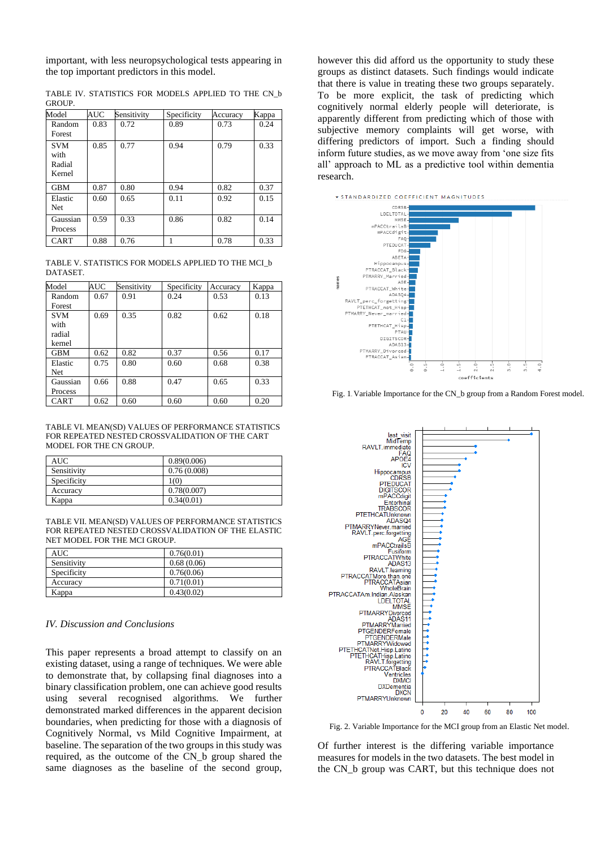important, with less neuropsychological tests appearing in the top important predictors in this model.

|  | .      |  | . |                                                     |  |  |
|--|--------|--|---|-----------------------------------------------------|--|--|
|  | GROUP. |  |   |                                                     |  |  |
|  |        |  |   | TABLE IV. STATISTICS FOR MODELS APPLIED TO THE CN b |  |  |

| Model                                  | AUC  | Sensitivity | Specificity | Accuracy | Kappa |
|----------------------------------------|------|-------------|-------------|----------|-------|
| Random<br>Forest                       | 0.83 | 0.72        | 0.89        | 0.73     | 0.24  |
| <b>SVM</b><br>with<br>Radial<br>Kernel | 0.85 | 0.77        | 0.94        | 0.79     | 0.33  |
| <b>GBM</b>                             | 0.87 | 0.80        | 0.94        | 0.82     | 0.37  |
| Elastic<br><b>Net</b>                  | 0.60 | 0.65        | 0.11        | 0.92     | 0.15  |
| Gaussian<br><b>Process</b>             | 0.59 | 0.33        | 0.86        | 0.82     | 0.14  |
| <b>CART</b>                            | 0.88 | 0.76        |             | 0.78     | 0.33  |

TABLE V. STATISTICS FOR MODELS APPLIED TO THE MCI\_b DATASET.

| Model       | <b>AUC</b> | Sensitivity | Specificity | Accuracy | Kappa |
|-------------|------------|-------------|-------------|----------|-------|
| Random      | 0.67       | 0.91        | 0.24        | 0.53     | 0.13  |
| Forest      |            |             |             |          |       |
| <b>SVM</b>  | 0.69       | 0.35        | 0.82        | 0.62     | 0.18  |
| with        |            |             |             |          |       |
| radial      |            |             |             |          |       |
| kernel      |            |             |             |          |       |
| <b>GBM</b>  | 0.62       | 0.82        | 0.37        | 0.56     | 0.17  |
| Elastic     | 0.75       | 0.80        | 0.60        | 0.68     | 0.38  |
| <b>Net</b>  |            |             |             |          |       |
| Gaussian    | 0.66       | 0.88        | 0.47        | 0.65     | 0.33  |
| Process     |            |             |             |          |       |
| <b>CART</b> | 0.62       | 0.60        | 0.60        | 0.60     | 0.20  |

TABLE VI. MEAN(SD) VALUES OF PERFORMANCE STATISTICS FOR REPEATED NESTED CROSSVALIDATION OF THE CART MODEL FOR THE CN GROUP.

| AUC         | 0.89(0.006) |
|-------------|-------------|
| Sensitivity | 0.76(0.008) |
| Specificity | 1(0)        |
| Accuracy    | 0.78(0.007) |
| Kappa       | 0.34(0.01)  |

TABLE VII. MEAN(SD) VALUES OF PERFORMANCE STATISTICS FOR REPEATED NESTED CROSSVALIDATION OF THE ELASTIC NET MODEL FOR THE MCI GROUP.

| AUC.        | 0.76(0.01) |
|-------------|------------|
| Sensitivity | 0.68(0.06) |
| Specificity | 0.76(0.06) |
| Accuracy    | 0.71(0.01) |
| Kappa       | 0.43(0.02) |

#### *IV. Discussion and Conclusions*

This paper represents a broad attempt to classify on an existing dataset, using a range of techniques. We were able to demonstrate that, by collapsing final diagnoses into a binary classification problem, one can achieve good results using several recognised algorithms. We further demonstrated marked differences in the apparent decision boundaries, when predicting for those with a diagnosis of Cognitively Normal, vs Mild Cognitive Impairment, at baseline. The separation of the two groups in this study was required, as the outcome of the CN\_b group shared the same diagnoses as the baseline of the second group, however this did afford us the opportunity to study these groups as distinct datasets. Such findings would indicate that there is value in treating these two groups separately. To be more explicit, the task of predicting which cognitively normal elderly people will deteriorate, is apparently different from predicting which of those with subjective memory complaints will get worse, with differing predictors of import. Such a finding should inform future studies, as we move away from 'one size fits all' approach to ML as a predictive tool within dementia research.



Fig. 1. Variable Importance for the CN\_b group from a Random Forest model.



Fig. 2. Variable Importance for the MCI group from an Elastic Net model.

Of further interest is the differing variable importance measures for models in the two datasets. The best model in the CN\_b group was CART, but this technique does not